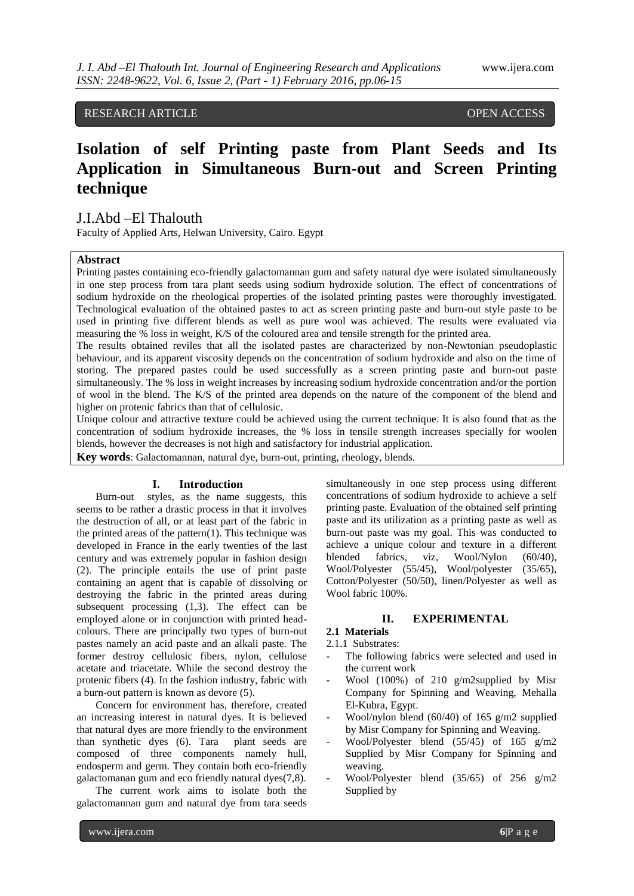# RESEARCH ARTICLE OPEN ACCESS

# **Isolation of self Printing paste from Plant Seeds and Its Application in Simultaneous Burn-out and Screen Printing technique**

# J.I.Abd –El Thalouth

Faculty of Applied Arts, Helwan University, Cairo. Egypt

# **Abstract**

Printing pastes containing eco-friendly galactomannan gum and safety natural dye were isolated simultaneously in one step process from tara plant seeds using sodium hydroxide solution. The effect of concentrations of sodium hydroxide on the rheological properties of the isolated printing pastes were thoroughly investigated. Technological evaluation of the obtained pastes to act as screen printing paste and burn-out style paste to be used in printing five different blends as well as pure wool was achieved. The results were evaluated via measuring the % loss in weight, K/S of the coloured area and tensile strength for the printed area.

The results obtained reviles that all the isolated pastes are characterized by non-Newtonian pseudoplastic behaviour, and its apparent viscosity depends on the concentration of sodium hydroxide and also on the time of storing. The prepared pastes could be used successfully as a screen printing paste and burn-out paste simultaneously. The % loss in weight increases by increasing sodium hydroxide concentration and/or the portion of wool in the blend. The K/S of the printed area depends on the nature of the component of the blend and higher on protenic fabrics than that of cellulosic.

Unique colour and attractive texture could be achieved using the current technique. It is also found that as the concentration of sodium hydroxide increases, the % loss in tensile strength increases specially for woolen blends, however the decreases is not high and satisfactory for industrial application.

**Key words**: Galactomannan, natural dye, burn-out, printing, rheology, blends.

### **I. Introduction**

Burn-out styles, as the name suggests, this seems to be rather a drastic process in that it involves the destruction of all, or at least part of the fabric in the printed areas of the pattern(1). This technique was developed in France in the early twenties of the last century and was extremely popular in fashion design (2). The principle entails the use of print paste containing an agent that is capable of dissolving or destroying the fabric in the printed areas during subsequent processing (1,3). The effect can be employed alone or in conjunction with printed headcolours. There are principally two types of burn-out pastes namely an acid paste and an alkali paste. The former destroy cellulosic fibers, nylon, cellulose acetate and triacetate. While the second destroy the protenic fibers (4). In the fashion industry, fabric with a burn-out pattern is known as devore (5).

Concern for environment has, therefore, created an increasing interest in natural dyes. It is believed that natural dyes are more friendly to the environment<br>than synthetic dyes (6). Tara plant seeds are than synthetic dyes  $(6)$ . Tara composed of three components namely hull, endosperm and germ. They contain both eco-friendly galactomanan gum and eco friendly natural dyes(7,8).

The current work aims to isolate both the galactomannan gum and natural dye from tara seeds

simultaneously in one step process using different concentrations of sodium hydroxide to achieve a self printing paste. Evaluation of the obtained self printing paste and its utilization as a printing paste as well as burn-out paste was my goal. This was conducted to achieve a unique colour and texture in a different<br>blended fabrics, viz, Wool/Nylon (60/40), blended fabrics, viz, Wool/Nylon (60/40), Wool/Polyester (55/45), Wool/polyester (35/65), Cotton/Polyester (50/50), linen/Polyester as well as Wool fabric 100%.

# **II. EXPERIMENTAL**

**2.1 Materials** 2.1.1 Substrates:

- The following fabrics were selected and used in the current work
- Wool (100%) of 210 g/m2supplied by Misr Company for Spinning and Weaving, Mehalla El-Kubra, Egypt.
- Wool/nylon blend (60/40) of 165  $g/m2$  supplied by Misr Company for Spinning and Weaving.
- Wool/Polyester blend (55/45) of 165 g/m2 Supplied by Misr Company for Spinning and weaving.
- Wool/Polyester blend (35/65) of 256 g/m2 Supplied by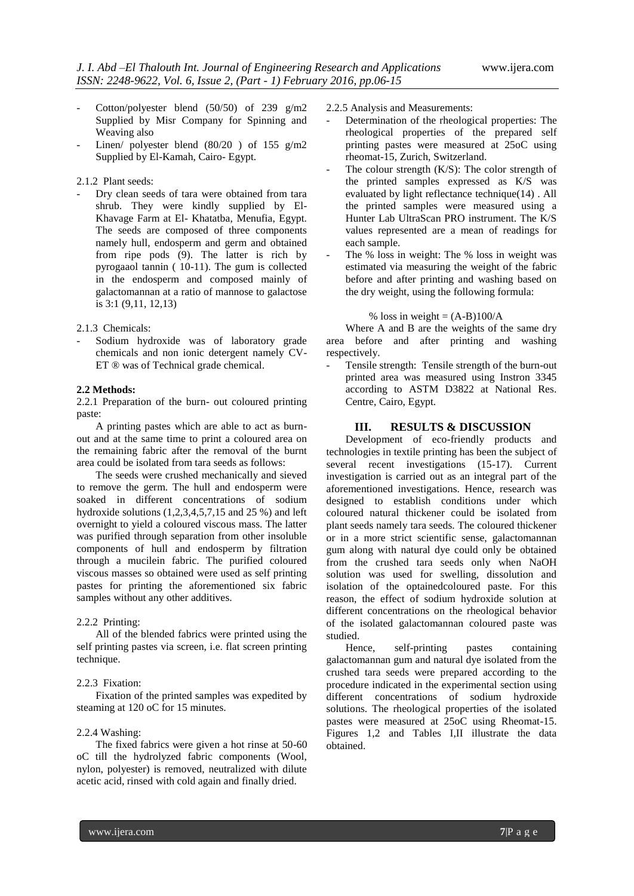- Cotton/polyester blend  $(50/50)$  of 239 g/m2 Supplied by Misr Company for Spinning and Weaving also
- Linen/ polyester blend  $(80/20)$  of 155 g/m2 Supplied by El-Kamah, Cairo- Egypt.

2.1.2 Plant seeds:

Dry clean seeds of tara were obtained from tara shrub. They were kindly supplied by El-Khavage Farm at El- Khatatba, Menufia, Egypt. The seeds are composed of three components namely hull, endosperm and germ and obtained from ripe pods (9). The latter is rich by pyrogaaol tannin ( 10-11). The gum is collected in the endosperm and composed mainly of galactomannan at a ratio of mannose to galactose is 3:1 (9,11, 12,13)

2.1.3 Chemicals:

Sodium hydroxide was of laboratory grade chemicals and non ionic detergent namely CV-ET ® was of Technical grade chemical.

#### **2.2 Methods:**

2.2.1 Preparation of the burn- out coloured printing paste:

A printing pastes which are able to act as burnout and at the same time to print a coloured area on the remaining fabric after the removal of the burnt area could be isolated from tara seeds as follows:

The seeds were crushed mechanically and sieved to remove the germ. The hull and endosperm were soaked in different concentrations of sodium hydroxide solutions  $(1,2,3,4,5,7,15,12)$  and 25 %) and left overnight to yield a coloured viscous mass. The latter was purified through separation from other insoluble components of hull and endosperm by filtration through a mucilein fabric. The purified coloured viscous masses so obtained were used as self printing pastes for printing the aforementioned six fabric samples without any other additives.

#### 2.2.2 Printing:

All of the blended fabrics were printed using the self printing pastes via screen, i.e. flat screen printing technique.

## 2.2.3 Fixation:

Fixation of the printed samples was expedited by steaming at 120 oC for 15 minutes.

### 2.2.4 Washing:

The fixed fabrics were given a hot rinse at 50-60 oC till the hydrolyzed fabric components (Wool, nylon, polyester) is removed, neutralized with dilute acetic acid, rinsed with cold again and finally dried.

- 2.2.5 Analysis and Measurements:
- Determination of the rheological properties: The rheological properties of the prepared self printing pastes were measured at 25oC using rheomat-15, Zurich, Switzerland.
- The colour strength  $(K/S)$ : The color strength of the printed samples expressed as K/S was evaluated by light reflectance technique(14) . All the printed samples were measured using a Hunter Lab UltraScan PRO instrument. The K/S values represented are a mean of readings for each sample.
- The % loss in weight: The % loss in weight was estimated via measuring the weight of the fabric before and after printing and washing based on the dry weight, using the following formula:

#### % loss in weight  $= (A-B)100/A$

Where A and B are the weights of the same dry area before and after printing and washing respectively.

Tensile strength: Tensile strength of the burn-out printed area was measured using Instron 3345 according to ASTM D3822 at National Res. Centre, Cairo, Egypt.

# **III. RESULTS & DISCUSSION**

Development of eco-friendly products and technologies in textile printing has been the subject of several recent investigations (15-17). Current investigation is carried out as an integral part of the aforementioned investigations. Hence, research was designed to establish conditions under which coloured natural thickener could be isolated from plant seeds namely tara seeds. The coloured thickener or in a more strict scientific sense, galactomannan gum along with natural dye could only be obtained from the crushed tara seeds only when NaOH solution was used for swelling, dissolution and isolation of the optainedcoloured paste. For this reason, the effect of sodium hydroxide solution at different concentrations on the rheological behavior of the isolated galactomannan coloured paste was studied.

Hence, self-printing pastes containing galactomannan gum and natural dye isolated from the crushed tara seeds were prepared according to the procedure indicated in the experimental section using different concentrations of sodium hydroxide solutions. The rheological properties of the isolated pastes were measured at 25oC using Rheomat-15. Figures 1,2 and Tables I,II illustrate the data obtained.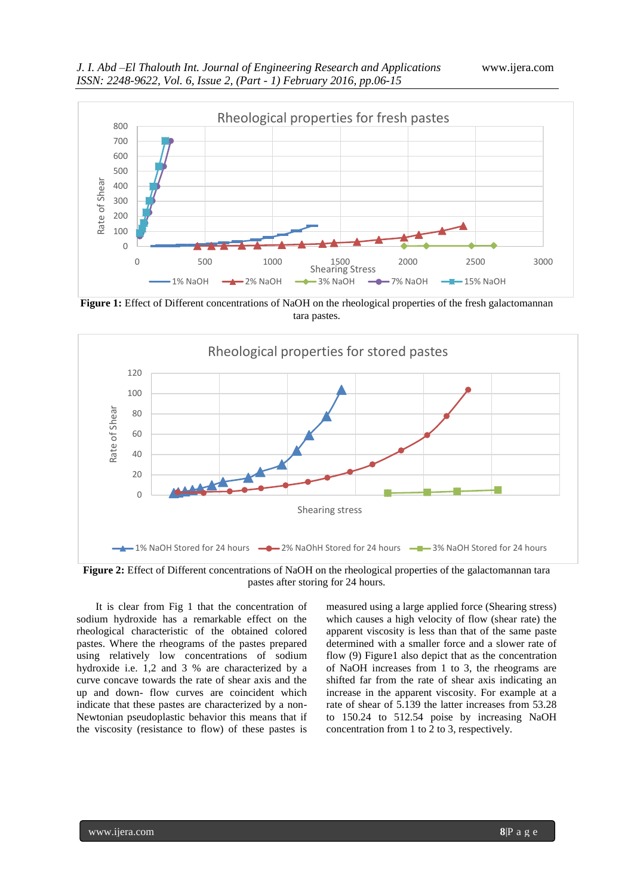

**Figure 1:** Effect of Different concentrations of NaOH on the rheological properties of the fresh galactomannan tara pastes.



**Figure 2:** Effect of Different concentrations of NaOH on the rheological properties of the galactomannan tara pastes after storing for 24 hours.

It is clear from Fig 1 that the concentration of sodium hydroxide has a remarkable effect on the rheological characteristic of the obtained colored pastes. Where the rheograms of the pastes prepared using relatively low concentrations of sodium hydroxide i.e. 1,2 and 3 % are characterized by a curve concave towards the rate of shear axis and the up and down- flow curves are coincident which indicate that these pastes are characterized by a non-Newtonian pseudoplastic behavior this means that if the viscosity (resistance to flow) of these pastes is

measured using a large applied force (Shearing stress) which causes a high velocity of flow (shear rate) the apparent viscosity is less than that of the same paste determined with a smaller force and a slower rate of flow (9) Figure1 also depict that as the concentration of NaOH increases from 1 to 3, the rheograms are shifted far from the rate of shear axis indicating an increase in the apparent viscosity. For example at a rate of shear of 5.139 the latter increases from 53.28 to 150.24 to 512.54 poise by increasing NaOH concentration from 1 to 2 to 3, respectively.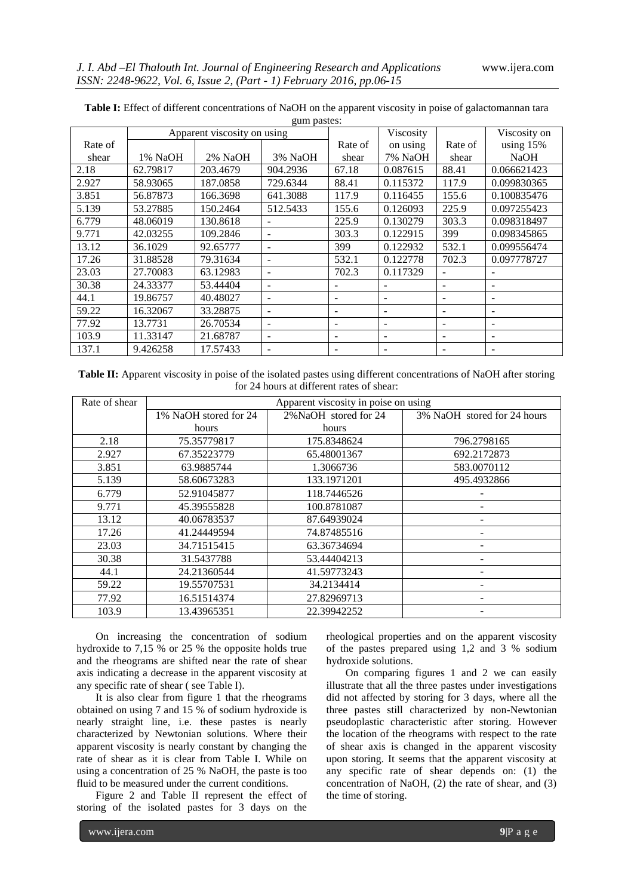|         | $5$ pwores:<br>Apparent viscosity on using |          |          |                          | Viscosity |                          | Viscosity on |
|---------|--------------------------------------------|----------|----------|--------------------------|-----------|--------------------------|--------------|
| Rate of |                                            |          |          | Rate of                  | on using  | Rate of                  | using 15%    |
| shear   | 1% NaOH                                    | 2% NaOH  | 3% NaOH  | shear                    | 7% NaOH   | shear                    | <b>NaOH</b>  |
| 2.18    | 62.79817                                   | 203.4679 | 904.2936 | 67.18                    | 0.087615  | 88.41                    | 0.066621423  |
| 2.927   | 58.93065                                   | 187.0858 | 729.6344 | 88.41                    | 0.115372  | 117.9                    | 0.099830365  |
| 3.851   | 56.87873                                   | 166.3698 | 641.3088 | 117.9                    | 0.116455  | 155.6                    | 0.100835476  |
| 5.139   | 53.27885                                   | 150.2464 | 512.5433 | 155.6                    | 0.126093  | 225.9                    | 0.097255423  |
| 6.779   | 48.06019                                   | 130.8618 |          | 225.9                    | 0.130279  | 303.3                    | 0.098318497  |
| 9.771   | 42.03255                                   | 109.2846 |          | 303.3                    | 0.122915  | 399                      | 0.098345865  |
| 13.12   | 36.1029                                    | 92.65777 |          | 399                      | 0.122932  | 532.1                    | 0.099556474  |
| 17.26   | 31.88528                                   | 79.31634 |          | 532.1                    | 0.122778  | 702.3                    | 0.097778727  |
| 23.03   | 27.70083                                   | 63.12983 |          | 702.3                    | 0.117329  |                          |              |
| 30.38   | 24.33377                                   | 53.44404 |          |                          |           |                          | -            |
| 44.1    | 19.86757                                   | 40.48027 |          | $\overline{\phantom{a}}$ |           | $\overline{\phantom{0}}$ | -            |
| 59.22   | 16.32067                                   | 33.28875 |          | ۰                        |           | $\overline{\phantom{a}}$ | -            |
| 77.92   | 13.7731                                    | 26.70534 |          | $\overline{\phantom{a}}$ |           | $\overline{\phantom{a}}$ | -            |
| 103.9   | 11.33147                                   | 21.68787 |          | $\overline{\phantom{a}}$ |           |                          | -            |
| 137.1   | 9.426258                                   | 17.57433 |          |                          |           |                          |              |

**Table I:** Effect of different concentrations of NaOH on the apparent viscosity in poise of galactomannan tara gum pastes:

**Table II:** Apparent viscosity in poise of the isolated pastes using different concentrations of NaOH after storing for 24 hours at different rates of shear:

| Rate of shear | Apparent viscosity in poise on using |                       |                             |  |  |  |  |
|---------------|--------------------------------------|-----------------------|-----------------------------|--|--|--|--|
|               | 1% NaOH stored for 24                | 2% NaOH stored for 24 | 3% NaOH stored for 24 hours |  |  |  |  |
|               | hours                                | hours                 |                             |  |  |  |  |
| 2.18          | 75.35779817                          | 175.8348624           | 796.2798165                 |  |  |  |  |
| 2.927         | 67.35223779                          | 65.48001367           | 692.2172873                 |  |  |  |  |
| 3.851         | 63.9885744                           | 1.3066736             | 583.0070112                 |  |  |  |  |
| 5.139         | 58.60673283                          | 133.1971201           | 495.4932866                 |  |  |  |  |
| 6.779         | 52.91045877                          | 118.7446526           |                             |  |  |  |  |
| 9.771         | 45.39555828                          | 100.8781087           |                             |  |  |  |  |
| 13.12         | 40.06783537                          | 87.64939024           |                             |  |  |  |  |
| 17.26         | 41.24449594                          | 74.87485516           |                             |  |  |  |  |
| 23.03         | 34.71515415                          | 63.36734694           |                             |  |  |  |  |
| 30.38         | 31.5437788                           | 53.44404213           |                             |  |  |  |  |
| 44.1          | 24.21360544                          | 41.59773243           |                             |  |  |  |  |
| 59.22         | 19.55707531                          | 34.2134414            |                             |  |  |  |  |
| 77.92         | 16.51514374                          | 27.82969713           |                             |  |  |  |  |
| 103.9         | 13.43965351                          | 22.39942252           |                             |  |  |  |  |

On increasing the concentration of sodium hydroxide to 7,15 % or 25 % the opposite holds true and the rheograms are shifted near the rate of shear axis indicating a decrease in the apparent viscosity at any specific rate of shear ( see Table I).

It is also clear from figure 1 that the rheograms obtained on using 7 and 15 % of sodium hydroxide is nearly straight line, i.e. these pastes is nearly characterized by Newtonian solutions. Where their apparent viscosity is nearly constant by changing the rate of shear as it is clear from Table I. While on using a concentration of 25 % NaOH, the paste is too fluid to be measured under the current conditions.

Figure 2 and Table II represent the effect of storing of the isolated pastes for 3 days on the

rheological properties and on the apparent viscosity of the pastes prepared using 1,2 and 3 % sodium hydroxide solutions.

On comparing figures 1 and 2 we can easily illustrate that all the three pastes under investigations did not affected by storing for 3 days, where all the three pastes still characterized by non-Newtonian pseudoplastic characteristic after storing. However the location of the rheograms with respect to the rate of shear axis is changed in the apparent viscosity upon storing. It seems that the apparent viscosity at any specific rate of shear depends on: (1) the concentration of NaOH, (2) the rate of shear, and (3) the time of storing.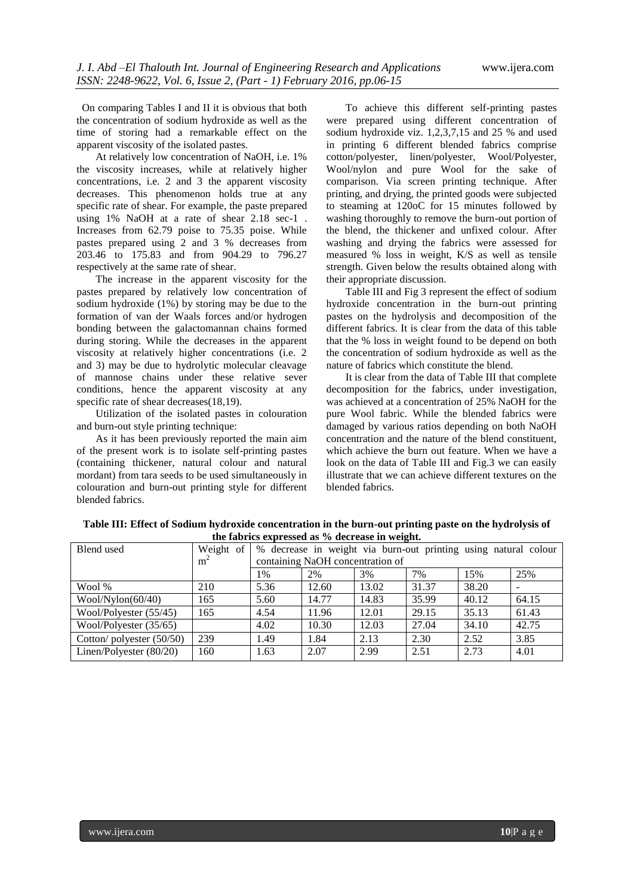On comparing Tables I and II it is obvious that both the concentration of sodium hydroxide as well as the time of storing had a remarkable effect on the apparent viscosity of the isolated pastes.

At relatively low concentration of NaOH, i.e. 1% the viscosity increases, while at relatively higher concentrations, i.e. 2 and 3 the apparent viscosity decreases. This phenomenon holds true at any specific rate of shear. For example, the paste prepared using 1% NaOH at a rate of shear 2.18 sec-1 . Increases from 62.79 poise to 75.35 poise. While pastes prepared using 2 and 3 % decreases from 203.46 to 175.83 and from 904.29 to 796.27 respectively at the same rate of shear.

The increase in the apparent viscosity for the pastes prepared by relatively low concentration of sodium hydroxide (1%) by storing may be due to the formation of van der Waals forces and/or hydrogen bonding between the galactomannan chains formed during storing. While the decreases in the apparent viscosity at relatively higher concentrations (i.e. 2 and 3) may be due to hydrolytic molecular cleavage of mannose chains under these relative sever conditions, hence the apparent viscosity at any specific rate of shear decreases(18,19).

Utilization of the isolated pastes in colouration and burn-out style printing technique:

As it has been previously reported the main aim of the present work is to isolate self-printing pastes (containing thickener, natural colour and natural mordant) from tara seeds to be used simultaneously in colouration and burn-out printing style for different blended fabrics.

To achieve this different self-printing pastes were prepared using different concentration of sodium hydroxide viz. 1,2,3,7,15 and 25 % and used in printing 6 different blended fabrics comprise cotton/polyester, linen/polyester, Wool/Polyester, Wool/nylon and pure Wool for the sake of comparison. Via screen printing technique. After printing, and drying, the printed goods were subjected to steaming at 120oC for 15 minutes followed by washing thoroughly to remove the burn-out portion of the blend, the thickener and unfixed colour. After washing and drying the fabrics were assessed for measured % loss in weight, K/S as well as tensile strength. Given below the results obtained along with their appropriate discussion.

Table III and Fig 3 represent the effect of sodium hydroxide concentration in the burn-out printing pastes on the hydrolysis and decomposition of the different fabrics. It is clear from the data of this table that the % loss in weight found to be depend on both the concentration of sodium hydroxide as well as the nature of fabrics which constitute the blend.

It is clear from the data of Table III that complete decomposition for the fabrics, under investigation, was achieved at a concentration of 25% NaOH for the pure Wool fabric. While the blended fabrics were damaged by various ratios depending on both NaOH concentration and the nature of the blend constituent, which achieve the burn out feature. When we have a look on the data of Table III and Fig.3 we can easily illustrate that we can achieve different textures on the blended fabrics.

| Blend used                | Weight of      | % decrease in weight via burn-out printing using natural colour |       |       |       |       |       |
|---------------------------|----------------|-----------------------------------------------------------------|-------|-------|-------|-------|-------|
|                           | m <sup>2</sup> | containing NaOH concentration of                                |       |       |       |       |       |
|                           |                | 1%                                                              | 2%    | 3%    | 7%    | 15%   | 25%   |
| Wool %                    | 210            | 5.36                                                            | 12.60 | 13.02 | 31.37 | 38.20 |       |
| Wood/Nylon(60/40)         | 165            | 5.60                                                            | 14.77 | 14.83 | 35.99 | 40.12 | 64.15 |
| Wool/Polyester (55/45)    | 165            | 4.54                                                            | 11.96 | 12.01 | 29.15 | 35.13 | 61.43 |
| Wool/Polyester (35/65)    |                | 4.02                                                            | 10.30 | 12.03 | 27.04 | 34.10 | 42.75 |
| Cotton/polyester (50/50)  | 239            | 1.49                                                            | 1.84  | 2.13  | 2.30  | 2.52  | 3.85  |
| Linen/Polyester $(80/20)$ | 160            | 1.63                                                            | 2.07  | 2.99  | 2.51  | 2.73  | 4.01  |

**Table III: Effect of Sodium hydroxide concentration in the burn-out printing paste on the hydrolysis of the fabrics expressed as % decrease in weight.**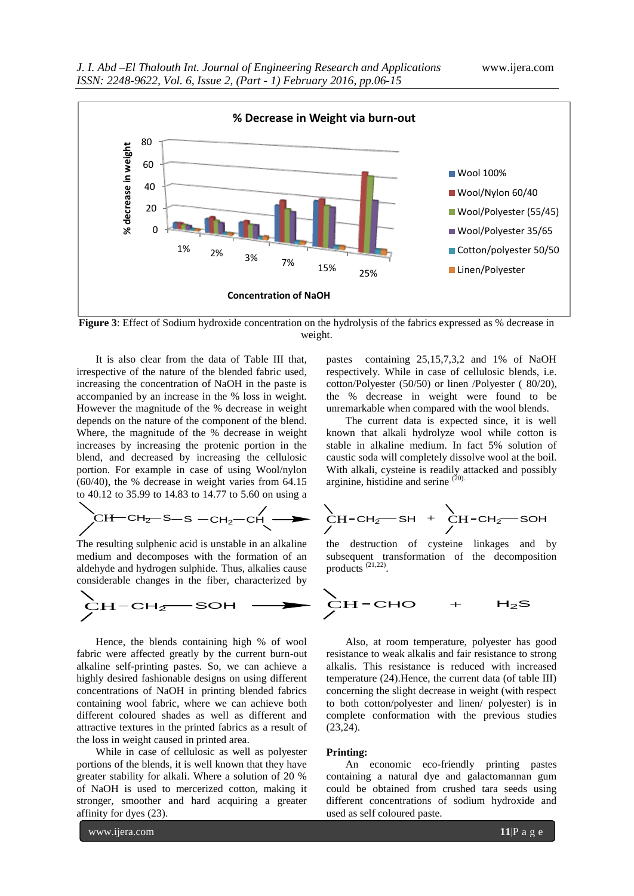

**Figure 3:** Effect of Sodium hydroxide concentration on the hydrolysis of the fabrics expressed as % decrease in weight.

It is also clear from the data of Table III that, irrespective of the nature of the blended fabric used, increasing the concentration of NaOH in the paste is accompanied by an increase in the % loss in weight. However the magnitude of the % decrease in weight depends on the nature of the component of the blend. Where, the magnitude of the % decrease in weight increases by increasing the protenic portion in the blend, and decreased by increasing the cellulosic portion. For example in case of using Wool/nylon (60/40), the % decrease in weight varies from 64.15 to 40.12 to 35.99 to 14.83 to 14.77 to 5.60 on using a

$$
CH-CH2-S-S-CH2-CH
$$

The resulting sulphenic acid is unstable in an alkaline medium and decomposes with the formation of an aldehyde and hydrogen sulphide. Thus, alkalies cause considerable changes in the fiber, characterized by

$$
\sum_{\text{CH-CH}_{2}}^{\text{CH-CH}_{2}} \text{SOH} \longrightarrow \sum_{\text{CH-CHO}}^{\text{CH-CHO}} + H_{2}\text{S}
$$

Hence, the blends containing high % of wool fabric were affected greatly by the current burn-out alkaline self-printing pastes. So, we can achieve a highly desired fashionable designs on using different concentrations of NaOH in printing blended fabrics containing wool fabric, where we can achieve both different coloured shades as well as different and attractive textures in the printed fabrics as a result of the loss in weight caused in printed area.

While in case of cellulosic as well as polyester portions of the blends, it is well known that they have greater stability for alkali. Where a solution of 20 % of NaOH is used to mercerized cotton, making it stronger, smoother and hard acquiring a greater affinity for dyes (23).

www.ijera.com **11**|P a g e

pastes containing 25,15,7,3,2 and 1% of NaOH respectively. While in case of cellulosic blends, i.e. cotton/Polyester (50/50) or linen /Polyester ( 80/20), the % decrease in weight were found to be unremarkable when compared with the wool blends.

The current data is expected since, it is well known that alkali hydrolyze wool while cotton is stable in alkaline medium. In fact 5% solution of caustic soda will completely dissolve wool at the boil. With alkali, cysteine is readily attacked and possibly arginine, histidine and serine  $(20)$ .

$$
CH-CH2-S-S-CH2-CH2\longrightarrow CH-CH2-SH + CH2-SOH
$$

the destruction of cysteine linkages and by subsequent transformation of the decomposition products<sup>(21,22)</sup>.

$$
\begin{array}{cccc}\n\big\downarrow & & & \\
CH-CHO & + & H_2S\n\end{array}
$$

Also, at room temperature, polyester has good resistance to weak alkalis and fair resistance to strong alkalis. This resistance is reduced with increased temperature (24).Hence, the current data (of table III) concerning the slight decrease in weight (with respect to both cotton/polyester and linen/ polyester) is in complete conformation with the previous studies (23,24).

#### **Printing:**

An economic eco-friendly printing pastes containing a natural dye and galactomannan gum could be obtained from crushed tara seeds using different concentrations of sodium hydroxide and used as self coloured paste.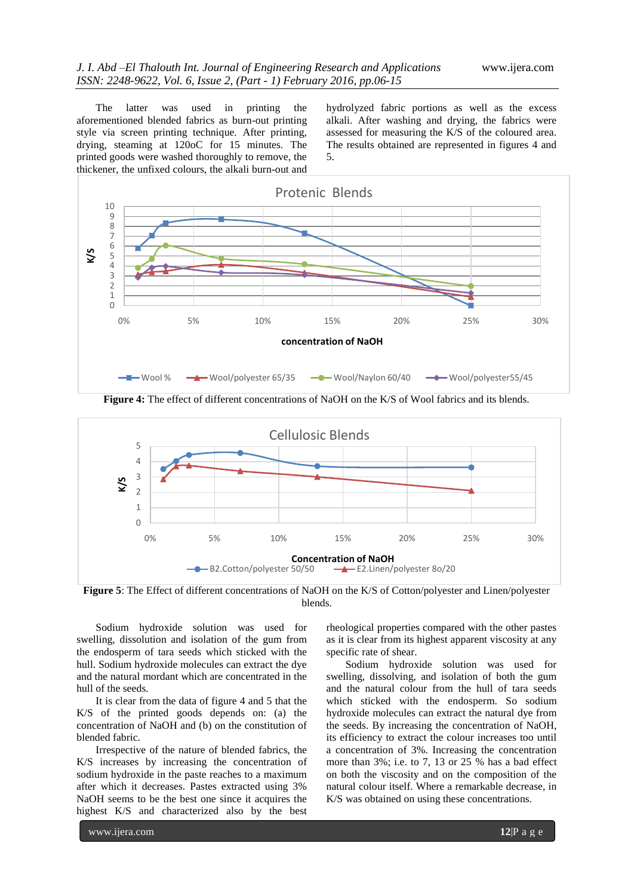The latter was used in printing the aforementioned blended fabrics as burn-out printing style via screen printing technique. After printing, drying, steaming at 120oC for 15 minutes. The printed goods were washed thoroughly to remove, the thickener, the unfixed colours, the alkali burn-out and hydrolyzed fabric portions as well as the excess alkali. After washing and drying, the fabrics were assessed for measuring the K/S of the coloured area. The results obtained are represented in figures 4 and 5.



**Figure 4:** The effect of different concentrations of NaOH on the K/S of Wool fabrics and its blends.



**Figure 5**: The Effect of different concentrations of NaOH on the K/S of Cotton/polyester and Linen/polyester blends.

Sodium hydroxide solution was used for swelling, dissolution and isolation of the gum from the endosperm of tara seeds which sticked with the hull. Sodium hydroxide molecules can extract the dye and the natural mordant which are concentrated in the hull of the seeds.

It is clear from the data of figure 4 and 5 that the K/S of the printed goods depends on: (a) the concentration of NaOH and (b) on the constitution of blended fabric.

Irrespective of the nature of blended fabrics, the K/S increases by increasing the concentration of sodium hydroxide in the paste reaches to a maximum after which it decreases. Pastes extracted using 3% NaOH seems to be the best one since it acquires the highest K/S and characterized also by the best

rheological properties compared with the other pastes as it is clear from its highest apparent viscosity at any specific rate of shear.

Sodium hydroxide solution was used for swelling, dissolving, and isolation of both the gum and the natural colour from the hull of tara seeds which sticked with the endosperm. So sodium hydroxide molecules can extract the natural dye from the seeds. By increasing the concentration of NaOH, its efficiency to extract the colour increases too until a concentration of 3%. Increasing the concentration more than 3%; i.e. to 7, 13 or 25 % has a bad effect on both the viscosity and on the composition of the natural colour itself. Where a remarkable decrease, in K/S was obtained on using these concentrations.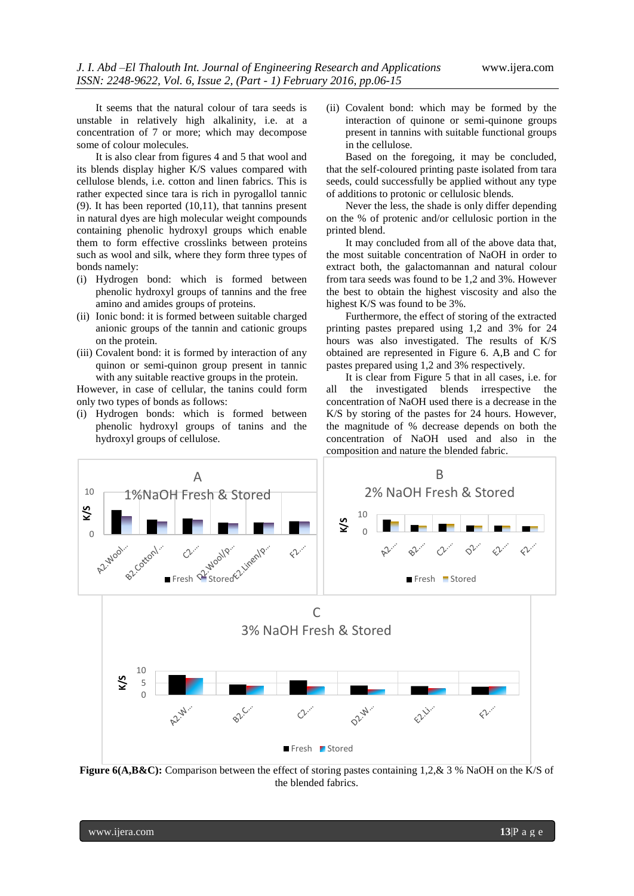It seems that the natural colour of tara seeds is unstable in relatively high alkalinity, i.e. at a concentration of 7 or more; which may decompose some of colour molecules.

It is also clear from figures 4 and 5 that wool and its blends display higher K/S values compared with cellulose blends, i.e. cotton and linen fabrics. This is rather expected since tara is rich in pyrogallol tannic (9). It has been reported (10,11), that tannins present in natural dyes are high molecular weight compounds containing phenolic hydroxyl groups which enable them to form effective crosslinks between proteins such as wool and silk, where they form three types of bonds namely:

- (i) Hydrogen bond: which is formed between phenolic hydroxyl groups of tannins and the free amino and amides groups of proteins.
- (ii) Ionic bond: it is formed between suitable charged anionic groups of the tannin and cationic groups on the protein.
- (iii) Covalent bond: it is formed by interaction of any quinon or semi-quinon group present in tannic with any suitable reactive groups in the protein.

However, in case of cellular, the tanins could form only two types of bonds as follows:

(i) Hydrogen bonds: which is formed between phenolic hydroxyl groups of tanins and the hydroxyl groups of cellulose.

(ii) Covalent bond: which may be formed by the interaction of quinone or semi-quinone groups present in tannins with suitable functional groups in the cellulose.

Based on the foregoing, it may be concluded, that the self-coloured printing paste isolated from tara seeds, could successfully be applied without any type of additions to protonic or cellulosic blends.

Never the less, the shade is only differ depending on the % of protenic and/or cellulosic portion in the printed blend.

It may concluded from all of the above data that, the most suitable concentration of NaOH in order to extract both, the galactomannan and natural colour from tara seeds was found to be 1,2 and 3%. However the best to obtain the highest viscosity and also the highest K/S was found to be 3%.

Furthermore, the effect of storing of the extracted printing pastes prepared using 1,2 and 3% for 24 hours was also investigated. The results of K/S obtained are represented in Figure 6. A,B and C for pastes prepared using 1,2 and 3% respectively.

It is clear from Figure 5 that in all cases, i.e. for all the investigated blends irrespective the concentration of NaOH used there is a decrease in the K/S by storing of the pastes for 24 hours. However, the magnitude of % decrease depends on both the concentration of NaOH used and also in the composition and nature the blended fabric.



**Figure 6(A,B&C):** Comparison between the effect of storing pastes containing 1,2,& 3 % NaOH on the K/S of the blended fabrics.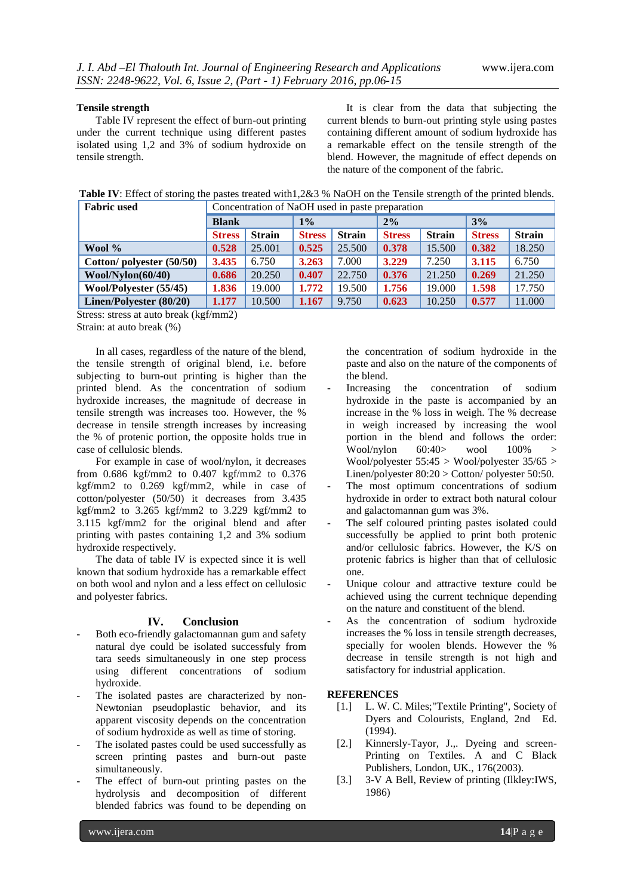#### **Tensile strength**

Table IV represent the effect of burn-out printing under the current technique using different pastes isolated using 1,2 and 3% of sodium hydroxide on tensile strength.

It is clear from the data that subjecting the current blends to burn-out printing style using pastes containing different amount of sodium hydroxide has a remarkable effect on the tensile strength of the blend. However, the magnitude of effect depends on the nature of the component of the fabric.

**Table IV:** Effect of storing the pastes treated with1,2&3 % NaOH on the Tensile strength of the printed blends.

| <b>Fabric used</b>       | Concentration of NaOH used in paste preparation |               |               |               |               |               |               |               |
|--------------------------|-------------------------------------------------|---------------|---------------|---------------|---------------|---------------|---------------|---------------|
|                          | <b>Blank</b>                                    |               | $1\%$         |               | 2%            |               | 3%            |               |
|                          | <b>Stress</b>                                   | <b>Strain</b> | <b>Stress</b> | <b>Strain</b> | <b>Stress</b> | <b>Strain</b> | <b>Stress</b> | <b>Strain</b> |
| Wool $\%$                | 0.528                                           | 25.001        | 0.525         | 25.500        | 0.378         | 15.500        | 0.382         | 18.250        |
| Cotton/polyester (50/50) | 3.435                                           | 6.750         | 3.263         | 7.000         | 3.229         | 7.250         | 3.115         | 6.750         |
| Wool/Nylon(60/40)        | 0.686                                           | 20.250        | 0.407         | 22.750        | 0.376         | 21.250        | 0.269         | 21.250        |
| Wool/Polyester (55/45)   | 1.836                                           | 19.000        | 1.772         | 19.500        | 1.756         | 19.000        | 1.598         | 17.750        |
| Linen/Polyester (80/20)  | 1.177                                           | 10.500        | 1.167         | 9.750         | 0.623         | 10.250        | 0.577         | 11.000        |

Stress: stress at auto break (kgf/mm2)

Strain: at auto break (%)

In all cases, regardless of the nature of the blend, the tensile strength of original blend, i.e. before subjecting to burn-out printing is higher than the printed blend. As the concentration of sodium hydroxide increases, the magnitude of decrease in tensile strength was increases too. However, the % decrease in tensile strength increases by increasing the % of protenic portion, the opposite holds true in case of cellulosic blends.

For example in case of wool/nylon, it decreases from 0.686 kgf/mm2 to 0.407 kgf/mm2 to 0.376 kgf/mm2 to 0.269 kgf/mm2, while in case of cotton/polyester (50/50) it decreases from 3.435 kgf/mm2 to 3.265 kgf/mm2 to 3.229 kgf/mm2 to 3.115 kgf/mm2 for the original blend and after printing with pastes containing 1,2 and 3% sodium hydroxide respectively.

The data of table IV is expected since it is well known that sodium hydroxide has a remarkable effect on both wool and nylon and a less effect on cellulosic and polyester fabrics.

## **IV. Conclusion**

- Both eco-friendly galactomannan gum and safety natural dye could be isolated successfuly from tara seeds simultaneously in one step process using different concentrations of sodium hydroxide.
- The isolated pastes are characterized by non-Newtonian pseudoplastic behavior, and its apparent viscosity depends on the concentration of sodium hydroxide as well as time of storing.
- The isolated pastes could be used successfully as screen printing pastes and burn-out paste simultaneously.
- The effect of burn-out printing pastes on the hydrolysis and decomposition of different blended fabrics was found to be depending on

the concentration of sodium hydroxide in the paste and also on the nature of the components of the blend.

- Increasing the concentration of sodium hydroxide in the paste is accompanied by an increase in the % loss in weigh. The % decrease in weigh increased by increasing the wool portion in the blend and follows the order: Wool/nylon 60:40> wool 100% > Wool/polyester  $55:45 >$  Wool/polyester  $35/65 >$ Linen/polyester 80:20 > Cotton/ polyester 50:50.
- The most optimum concentrations of sodium hydroxide in order to extract both natural colour and galactomannan gum was 3%.
- The self coloured printing pastes isolated could successfully be applied to print both protenic and/or cellulosic fabrics. However, the K/S on protenic fabrics is higher than that of cellulosic one.
- Unique colour and attractive texture could be achieved using the current technique depending on the nature and constituent of the blend.
- As the concentration of sodium hydroxide increases the % loss in tensile strength decreases, specially for woolen blends. However the % decrease in tensile strength is not high and satisfactory for industrial application.

#### **REFERENCES**

- [1.] L. W. C. Miles;"Textile Printing", Society of Dyers and Colourists, England, 2nd Ed. (1994).
- [2.] Kinnersly-Tayor, J.,. Dyeing and screen-Printing on Textiles. A and C Black Publishers, London, UK., 176(2003).
- [3.] 3-V A Bell, Review of printing (Ilkley:IWS, 1986)